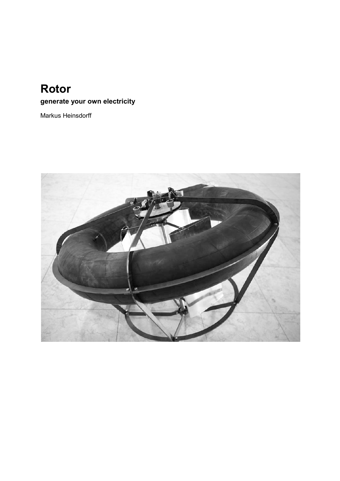# **Rotor generate your own electricity**

Markus Heinsdorff

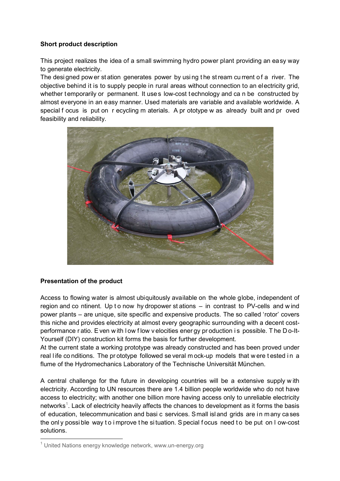## **Short product description**

This project realizes the idea of a small swimming hydro power plant providing an easy way to generate electricity.

The designed pow er station generates power by using the stream current of a river. The objective behind it is to supply people in rural areas without connection to an electricity grid, whether t emporarily or permanent. It uses low-cost technology and can be constructed by almost everyone in an easy manner. Used materials are variable and available worldwide. A special f ocus is put on r ecycling m aterials. A pr ototype w as already built and pr oved feasibility and reliability.



## **Presentation of the product**

Access to flowing water is almost ubiquitously available on the whole globe, independent of region and co ntinent. Up t o now hy dropower st ations  $-$  in contrast to PV-cells and w ind power plants – are unique, site specific and expensive products. The so called 'rotor' covers this niche and provides electricity at almost every geographic surrounding with a decent costperformance r atio. E ven w ith l ow f low v elocities ener gy pr oduction i s possible. T he D o-It-Yourself (DIY) construction kit forms the basis for further development.

At the current state a working prototype was already constructed and has been proved under real life conditions. The prototype followed se veral mock-up models that w ere t ested in a flume of the Hydromechanics Laboratory of the Technische Universität München.

A central challenge for the future in developing countries will be a extensive supply w ith electricity. According to UN resources there are 1.4 billion people worldwide who do not have access to electricity; with another one billion more having access only to unreliable electricity networks<sup>[1](#page-1-0)</sup>. Lack of electricity heavily affects the chances to development as it forms the basis of education, telecommunication and basi c services. Small isl and grids are in m any cases the only possible way to improve the situation. S pecial focus need to be put on I ow-cost solutions.

<span id="page-1-0"></span> $\overline{a}$ <sup>1</sup> [United Nations energy knowledge network, www.un-energy.org](http://www.un-energy.org/stories/860-international-year-of-sustainable-energy-for-all)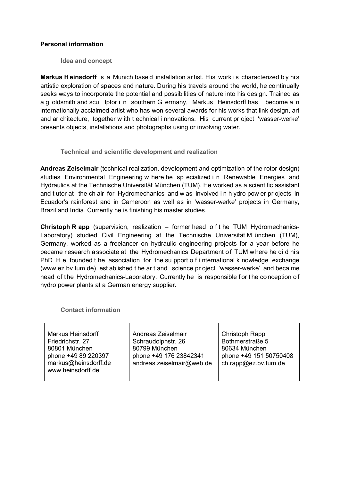#### **Personal information**

**Idea and concept**

**Markus Heinsdorff** is a Munich based installation artist. His work is characterized by his artistic exploration of spaces and nature. During his travels around the world, he co ntinually seeks ways to incorporate the potential and possibilities of nature into his design. Trained as a g oldsmith and scu lptor i n southern G ermany, Markus Heinsdorff has become a n internationally acclaimed artist who has won several awards for his works that link design, art and ar chitecture, together w ith t echnical i nnovations. His current pr oject 'wasser-werke' presents objects, installations and photographs using or involving water.

**Technical and scientific development and realization**

**Andreas Zeiselmair** (technical realization, development and optimization of the rotor design) studies Environmental Engineering w here he sp ecialized i n Renewable Energies and Hydraulics at the Technische Universität München (TUM). He worked as a scientific assistant and t utor at the ch air for Hydromechanics and w as involved i n h ydro pow er pr ojects in Ecuador's rainforest and in Cameroon as well as in 'wasser-werke' projects in Germany, Brazil and India. Currently he is finishing his master studies.

**Christoph R app** (supervision, realization – former head o f t he TUM Hydromechanics-Laboratory) studied Civil Engineering at the Technische Universität M ünchen (TUM), Germany, worked as a freelancer on hydraulic engineering projects for a year before he became r esearch a ssociate at the Hydromechanics Department of TUM w here he did his PhD. H e founded t he association for the su pport o f i nternational k nowledge exchange (www.ez.bv.tum.de), est ablished t he ar t and science pr oject 'wasser-werke' and beca me head of the Hydromechanics-Laboratory. Currently he is responsible for the conception of hydro power plants at a German energy supplier.

| Markus Heinsdorff<br>Friedrichstr. 27<br>80801 München<br>phone +49 89 220397<br>markus@heinsdorff.de<br>www.heinsdorff.de | Andreas Zeiselmair<br>Schraudolphstr. 26<br>80799 München<br>phone +49 176 23842341<br>andreas.zeiselmair@web.de | Christoph Rapp<br>Bothmerstraße 5<br>80634 München<br>phone +49 151 50750408<br>ch.rapp@ez.bv.tum.de |
|----------------------------------------------------------------------------------------------------------------------------|------------------------------------------------------------------------------------------------------------------|------------------------------------------------------------------------------------------------------|
|----------------------------------------------------------------------------------------------------------------------------|------------------------------------------------------------------------------------------------------------------|------------------------------------------------------------------------------------------------------|

**Contact information**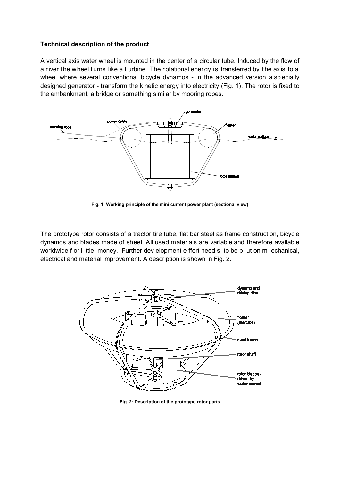#### **Technical description of the product**

A vertical axis water wheel is mounted in the center of a circular tube. Induced by the flow of a river the wheel turns like a turbine. The rotational energy is transferred by the axis to a wheel where several conventional bicycle dynamos - in the advanced version a sp ecially designed generator - transform the kinetic energy into electricity (Fig. 1). The rotor is fixed to the embankment, a bridge or something similar by mooring ropes.



**Fig. 1: Working principle of the mini current power plant (sectional view)**

The prototype rotor consists of a tractor tire tube, flat bar steel as frame construction, bicycle dynamos and blades made of sheet. All used materials are variable and therefore available worldwide f or l ittle money. Further dev elopment e ffort need s to be p ut on m echanical, electrical and material improvement. A description is shown in Fig. 2.



**Fig. 2: Description of the prototype rotor parts**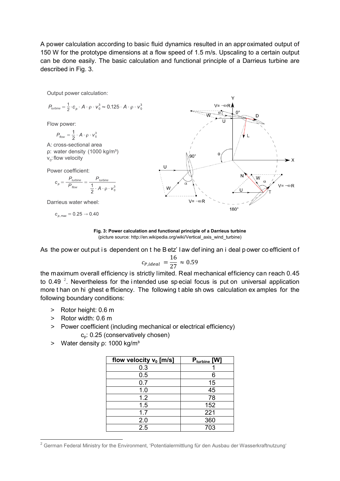A power calculation according to basic fluid dynamics resulted in an approximated output of 150 W for the prototype dimensions at a flow speed of 1.5 m/s. Upscaling to a certain output can be done easily. The basic calculation and functional principle of a Darrieus turbine are described in Fig. 3.

Output power calculation:

$$
P_{\text{turbine}} = \frac{1}{2} \cdot c_{\rho} \cdot A \cdot \rho \cdot v_0^3 \approx 0.125 \cdot A \cdot \rho \cdot v_0^3
$$

Flow power:

$$
P_{flow} = \frac{1}{2} \cdot A \cdot \rho \cdot v_0^3
$$

A: cross-sectional area ρ: water density (1000 kg/m³) v<sub>o</sub>: flow velocity

Power coefficient:

$$
c_{p} = \frac{P_{turbine}}{P_{flow}} = \frac{P_{turbine}}{\frac{1}{2} \cdot A \cdot \rho \cdot v_{0}^{3}}
$$

Darrieus water wheel:

 $c_{n,max} = 0.25 \rightarrow 0.40$ 



**Fig. 3: Power calculation and functional principle of a Darrieus turbine** (picture source: http://en.wikipedia.org/wiki/Vertical\_axis\_wind\_turbine)

As the pow er out put is dependent on t he B etz' law defining an i deal p ower co efficient of

$$
c_{P, ideal} = \frac{16}{27} \approx 0.59
$$

the maximum overall efficiency is strictly limited. Real mechanical efficiency can reach 0.45 to 0.49  $^2$  $^2$ . Nevertheless for the intended use special focus is put on universal application more t han on hi ghest e fficiency. The following t able sh ows calculation ex amples for the following boundary conditions:

- > Rotor height: 0.6 m
- > Rotor width: 0.6 m

 $\overline{a}$ 

- > Power coefficient (including mechanical or electrical efficiency) c<sub>p</sub>: 0.25 (conservatively chosen)
- > Water density ρ: 1000 kg/m³

| flow velocity $v_0$ [m/s] | $P_{\text{turbine}}$ [W] |
|---------------------------|--------------------------|
| 0.3                       |                          |
| 0.5                       | 6                        |
| 0.7                       | 15                       |
| 1.0                       | 45                       |
| 1.2                       | 78                       |
| 1.5                       | 152                      |
| 1.7                       | 221                      |
| 2.0                       | 360                      |
| 2.5                       | 703                      |

<span id="page-4-0"></span> $^{2}$  [German Federal Ministry for the Environment, 'Potentialermittlung für den Ausbau der Wasserkraftnutzung'](http://www.bmu.de/fileadmin/bmu-import/files/pdfs/allgemein/application/pdf/potential_wasserkraft_lang_bf.pdf)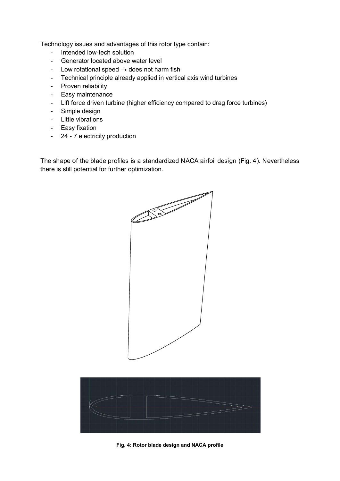Technology issues and advantages of this rotor type contain:

- Intended low-tech solution
- Generator located above water level
- Low rotational speed  $\rightarrow$  does not harm fish
- Technical principle already applied in vertical axis wind turbines
- Proven reliability
- Easy maintenance
- Lift force driven turbine (higher efficiency compared to drag force turbines)
- Simple design
- Little vibrations
- Easy fixation
- 24 7 electricity production

The shape of the blade profiles is a standardized NACA airfoil design (Fig. 4). Nevertheless there is still potential for further optimization.





**Fig. 4: Rotor blade design and NACA profile**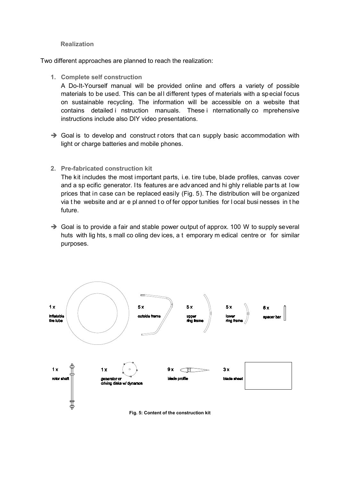#### **Realization**

Two different approaches are planned to reach the realization:

**1. Complete self construction** 

A Do-It-Yourself manual will be provided online and offers a variety of possible materials to be used. This can be all different types of materials with a special focus on sustainable recycling. The information will be accessible on a website that contains detailed i nstruction manuals. These i nternationally co mprehensive instructions include also DIY video presentations.

- $\rightarrow$  Goal is to develop and construct rotors that can supply basic accommodation with light or charge batteries and mobile phones.
- **2. Pre-fabricated construction kit**

The kit includes the most important parts, i.e. tire tube, blade profiles, canvas cover and a sp ecific generator. Its features ar e advanced and hi ghly r eliable par ts at low prices that in case can be replaced easily (Fig. 5). The distribution will be organized via t he website and ar e pl anned t o of fer oppor tunities for l ocal busi nesses in t he future.

 $\rightarrow$  Goal is to provide a fair and stable power output of approx. 100 W to supply several huts with lig hts, s mall co oling dev ices, a t emporary m edical centre or for similar purposes.



**Fig. 5: Content of the construction kit**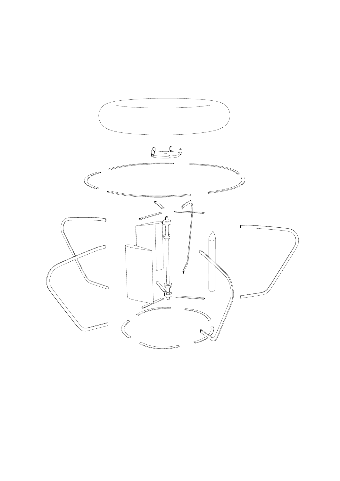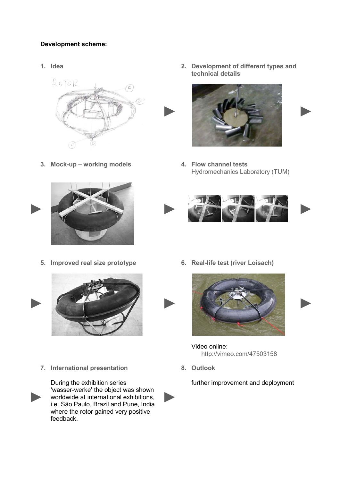## **Development scheme:**



**3. Mock-up – working models 4. Flow channel tests** 





**7. International presentation**

During the exhibition series 'wasser-werke' the object was shown worldwide at international exhibitions, i.e. São Paulo, Brazil and Pune, India where the rotor gained very positive feedback.

**1. Idea 2. Development of different types and technical details**



Hydromechanics Laboratory (TUM)



**5. Improved real size prototype 6. Real-life test (river Loisach)**



Video online: <http://vimeo.com/47503158>

**8. Outlook**

further improvement and deployment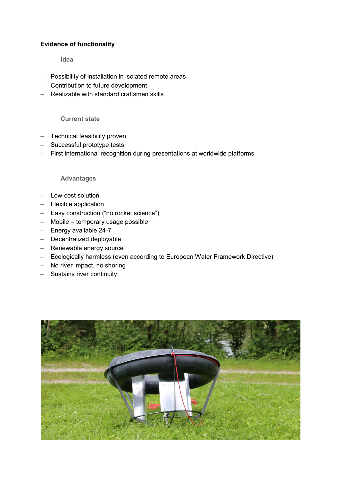## **Evidence of functionality**

**Idea**

- Possibility of installation in isolated remote areas
- − Contribution to future development
- − Realizable with standard craftsmen skills

#### **Current state**

- − Technical feasibility proven
- − Successful prototype tests
- − First international recognition during presentations at worldwide platforms

#### **Advantages**

- − Low-cost solution
- − Flexible application
- − Easy construction ("no rocket science")
- − Mobile temporary usage possible
- − Energy available 24-7
- − Decentralized deployable
- − Renewable energy source
- − Ecologically harmless (even according to European Water Framework Directive)
- − No river impact, no shoring
- − Sustains river continuity

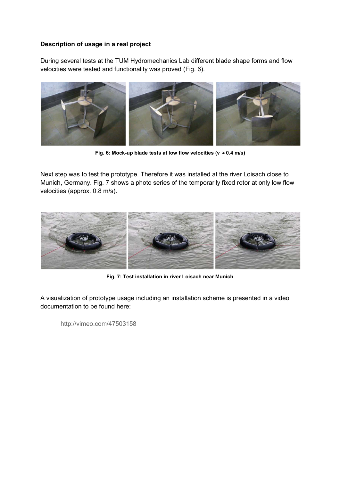#### **Description of usage in a real project**

During several tests at the TUM Hydromechanics Lab different blade shape forms and flow velocities were tested and functionality was proved (Fig. 6).



**Fig. 6: Mock-up blade tests at low flow velocities (v ≈ 0.4 m/s)**

Next step was to test the prototype. Therefore it was installed at the river Loisach close to Munich, Germany. Fig. 7 shows a photo series of the temporarily fixed rotor at only low flow velocities (approx. 0.8 m/s).



**Fig. 7: Test installation in river Loisach near Munich**

A visualization of prototype usage including an installation scheme is presented in a video documentation to be found here:

<http://vimeo.com/47503158>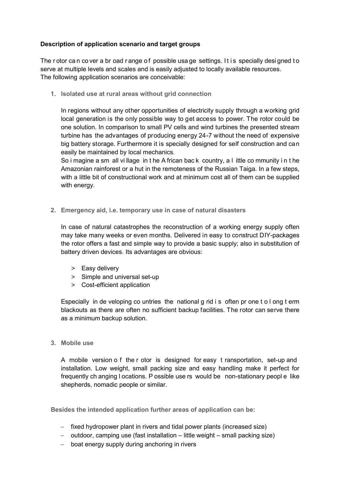## **Description of application scenario and target groups**

The r otor can co ver a br oad r ange of possible usage settings. It is specially designed to serve at multiple levels and scales and is easily adjusted to locally available resources. The following application scenarios are conceivable:

**1. Isolated use at rural areas without grid connection**

In regions without any other opportunities of electricity supply through a working grid local generation is the only possible way to get access to power. The rotor could be one solution. In comparison to small PV cells and wind turbines the presented stream turbine has the advantages of producing energy 24-7 without the need of expensive big battery storage. Furthermore it is specially designed for self construction and can easily be maintained by local mechanics.

So i magine a sm all vi llage in t he A frican bac k country, a l ittle co mmunity i n t he Amazonian rainforest or a hut in the remoteness of the Russian Taiga. In a few steps, with a little bit of constructional work and at minimum cost all of them can be supplied with energy.

**2. Emergency aid, i.e. temporary use in case of natural disasters**

In case of natural catastrophes the reconstruction of a working energy supply often may take many weeks or even months. Delivered in easy to construct DIY-packages the rotor offers a fast and simple way to provide a basic supply; also in substitution of battery driven devices. Its advantages are obvious:

- > Easy delivery
- > Simple and universal set-up
- > Cost-efficient application

Especially in de veloping co untries the national g rid i s often pr one t o l ong t erm blackouts as there are often no sufficient backup facilities. The rotor can serve there as a minimum backup solution.

**3. Mobile use**

A mobile version o f the r otor is designed for easy t ransportation, set-up and installation. Low weight, small packing size and easy handling make it perfect for frequently ch anging l ocations. P ossible use rs would be non-stationary peopl e like shepherds, nomadic people or similar.

**Besides the intended application further areas of application can be:**

- − fixed hydropower plant in rivers and tidal power plants (increased size)
- − outdoor, camping use (fast installation little weight small packing size)
- − boat energy supply during anchoring in rivers